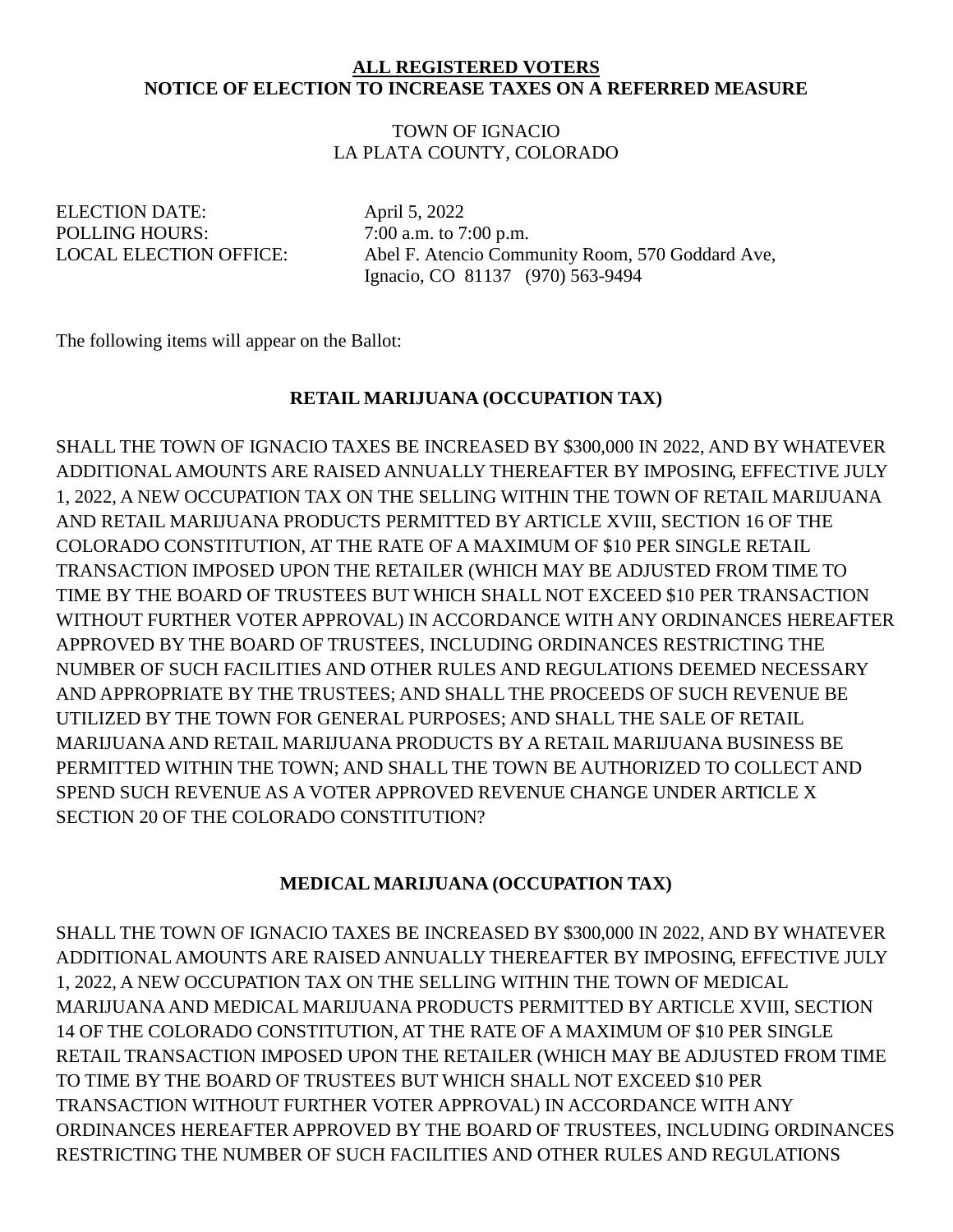### **ALL REGISTERED VOTERS NOTICE OF ELECTION TO INCREASE TAXES ON A REFERRED MEASURE**

### TOWN OF IGNACIO LA PLATA COUNTY, COLORADO

ELECTION DATE: April 5, 2022 POLLING HOURS:  $7:00$  a.m. to 7:00 p.m.

LOCAL ELECTION OFFICE: Abel F. Atencio Community Room, 570 Goddard Ave, Ignacio, CO 81137 (970) 563-9494

The following items will appear on the Ballot:

## **RETAIL MARIJUANA (OCCUPATION TAX)**

SHALL THE TOWN OF IGNACIO TAXES BE INCREASED BY \$300,000 IN 2022, AND BY WHATEVER ADDITIONAL AMOUNTS ARE RAISED ANNUALLY THEREAFTER BY IMPOSING, EFFECTIVE JULY 1, 2022, A NEW OCCUPATION TAX ON THE SELLING WITHIN THE TOWN OF RETAIL MARIJUANA AND RETAIL MARIJUANA PRODUCTS PERMITTED BY ARTICLE XVIII, SECTION 16 OF THE COLORADO CONSTITUTION, AT THE RATE OF A MAXIMUM OF \$10 PER SINGLE RETAIL TRANSACTION IMPOSED UPON THE RETAILER (WHICH MAY BE ADJUSTED FROM TIME TO TIME BY THE BOARD OF TRUSTEES BUT WHICH SHALL NOT EXCEED \$10 PER TRANSACTION WITHOUT FURTHER VOTER APPROVAL) IN ACCORDANCE WITH ANY ORDINANCES HEREAFTER APPROVED BY THE BOARD OF TRUSTEES, INCLUDING ORDINANCES RESTRICTING THE NUMBER OF SUCH FACILITIES AND OTHER RULES AND REGULATIONS DEEMED NECESSARY AND APPROPRIATE BY THE TRUSTEES; AND SHALL THE PROCEEDS OF SUCH REVENUE BE UTILIZED BY THE TOWN FOR GENERAL PURPOSES; AND SHALL THE SALE OF RETAIL MARIJUANA AND RETAIL MARIJUANA PRODUCTS BY A RETAIL MARIJUANA BUSINESS BE PERMITTED WITHIN THE TOWN; AND SHALL THE TOWN BE AUTHORIZED TO COLLECT AND SPEND SUCH REVENUE AS A VOTER APPROVED REVENUE CHANGE UNDER ARTICLE X SECTION 20 OF THE COLORADO CONSTITUTION?

## **MEDICAL MARIJUANA (OCCUPATION TAX)**

SHALL THE TOWN OF IGNACIO TAXES BE INCREASED BY \$300,000 IN 2022, AND BY WHATEVER ADDITIONAL AMOUNTS ARE RAISED ANNUALLY THEREAFTER BY IMPOSING, EFFECTIVE JULY 1, 2022, A NEW OCCUPATION TAX ON THE SELLING WITHIN THE TOWN OF MEDICAL MARIJUANA AND MEDICAL MARIJUANA PRODUCTS PERMITTED BY ARTICLE XVIII, SECTION 14 OF THE COLORADO CONSTITUTION, AT THE RATE OF A MAXIMUM OF \$10 PER SINGLE RETAIL TRANSACTION IMPOSED UPON THE RETAILER (WHICH MAY BE ADJUSTED FROM TIME TO TIME BY THE BOARD OF TRUSTEES BUT WHICH SHALL NOT EXCEED \$10 PER TRANSACTION WITHOUT FURTHER VOTER APPROVAL) IN ACCORDANCE WITH ANY ORDINANCES HEREAFTER APPROVED BY THE BOARD OF TRUSTEES, INCLUDING ORDINANCES RESTRICTING THE NUMBER OF SUCH FACILITIES AND OTHER RULES AND REGULATIONS